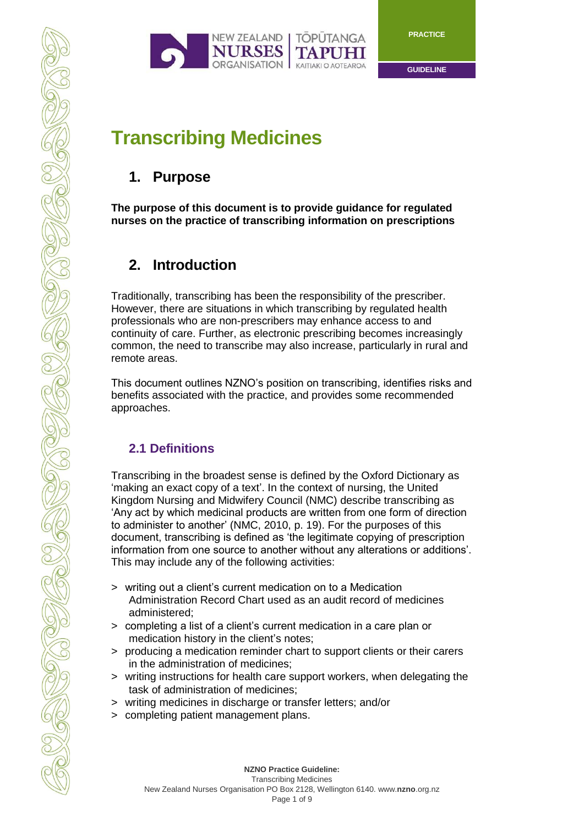



# **Transcribing Medicines**

# **1. Purpose**

**The purpose of this document is to provide guidance for regulated nurses on the practice of transcribing information on prescriptions** 

# **2. Introduction**

Traditionally, transcribing has been the responsibility of the prescriber. However, there are situations in which transcribing by regulated health professionals who are non-prescribers may enhance access to and continuity of care. Further, as electronic prescribing becomes increasingly common, the need to transcribe may also increase, particularly in rural and remote areas.

This document outlines NZNO's position on transcribing, identifies risks and benefits associated with the practice, and provides some recommended approaches.

#### **2.1 Definitions**

COLOR COLOR

COLLEGE PROP

Transcribing in the broadest sense is defined by the Oxford Dictionary as 'making an exact copy of a text'. In the context of nursing, the United Kingdom Nursing and Midwifery Council (NMC) describe transcribing as 'Any act by which medicinal products are written from one form of direction to administer to another' (NMC, 2010, p. 19). For the purposes of this document, transcribing is defined as 'the legitimate copying of prescription information from one source to another without any alterations or additions'. This may include any of the following activities:

- > writing out a client's current medication on to a Medication Administration Record Chart used as an audit record of medicines administered;
- > completing a list of a client's current medication in a care plan or medication history in the client's notes;
- > producing a medication reminder chart to support clients or their carers in the administration of medicines;
- > writing instructions for health care support workers, when delegating the task of administration of medicines;
- > writing medicines in discharge or transfer letters; and/or
- > completing patient management plans.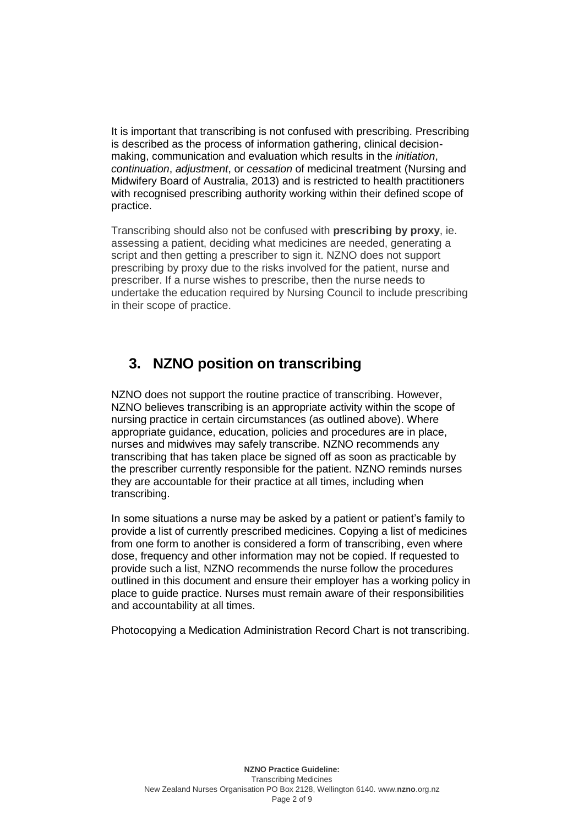It is important that transcribing is not confused with prescribing. Prescribing is described as the process of information gathering, clinical decisionmaking, communication and evaluation which results in the *initiation*, *continuation*, *adjustment*, or *cessation* of medicinal treatment (Nursing and Midwifery Board of Australia, 2013) and is restricted to health practitioners with recognised prescribing authority working within their defined scope of practice.

Transcribing should also not be confused with **prescribing by proxy**, ie. assessing a patient, deciding what medicines are needed, generating a script and then getting a prescriber to sign it. NZNO does not support prescribing by proxy due to the risks involved for the patient, nurse and prescriber. If a nurse wishes to prescribe, then the nurse needs to undertake the education required by Nursing Council to include prescribing in their scope of practice.

### **3. NZNO position on transcribing**

NZNO does not support the routine practice of transcribing. However, NZNO believes transcribing is an appropriate activity within the scope of nursing practice in certain circumstances (as outlined above). Where appropriate guidance, education, policies and procedures are in place, nurses and midwives may safely transcribe. NZNO recommends any transcribing that has taken place be signed off as soon as practicable by the prescriber currently responsible for the patient. NZNO reminds nurses they are accountable for their practice at all times, including when transcribing.

In some situations a nurse may be asked by a patient or patient's family to provide a list of currently prescribed medicines. Copying a list of medicines from one form to another is considered a form of transcribing, even where dose, frequency and other information may not be copied. If requested to provide such a list, NZNO recommends the nurse follow the procedures outlined in this document and ensure their employer has a working policy in place to guide practice. Nurses must remain aware of their responsibilities and accountability at all times.

Photocopying a Medication Administration Record Chart is not transcribing.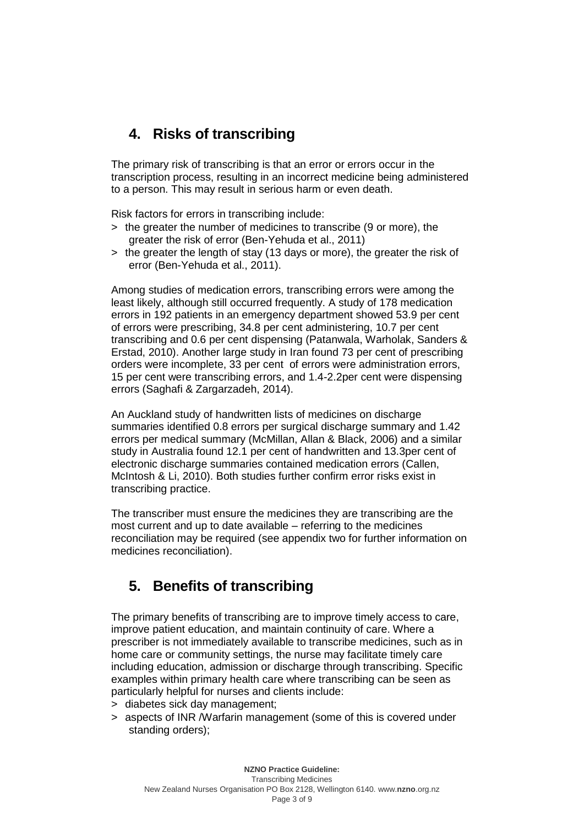# **4. Risks of transcribing**

The primary risk of transcribing is that an error or errors occur in the transcription process, resulting in an incorrect medicine being administered to a person. This may result in serious harm or even death.

Risk factors for errors in transcribing include:

- > the greater the number of medicines to transcribe (9 or more), the greater the risk of error (Ben-Yehuda et al., 2011)
- > the greater the length of stay (13 days or more), the greater the risk of error (Ben-Yehuda et al., 2011).

Among studies of medication errors, transcribing errors were among the least likely, although still occurred frequently. A study of 178 medication errors in 192 patients in an emergency department showed 53.9 per cent of errors were prescribing, 34.8 per cent administering, 10.7 per cent transcribing and 0.6 per cent dispensing (Patanwala, Warholak, Sanders & Erstad, 2010). Another large study in Iran found 73 per cent of prescribing orders were incomplete, 33 per cent of errors were administration errors, 15 per cent were transcribing errors, and 1.4-2.2per cent were dispensing errors (Saghafi & Zargarzadeh, 2014).

An Auckland study of handwritten lists of medicines on discharge summaries identified 0.8 errors per surgical discharge summary and 1.42 errors per medical summary (McMillan, Allan & Black, 2006) and a similar study in Australia found 12.1 per cent of handwritten and 13.3per cent of electronic discharge summaries contained medication errors (Callen, McIntosh & Li, 2010). Both studies further confirm error risks exist in transcribing practice.

The transcriber must ensure the medicines they are transcribing are the most current and up to date available – referring to the medicines reconciliation may be required (see appendix two for further information on medicines reconciliation).

# **5. Benefits of transcribing**

The primary benefits of transcribing are to improve timely access to care, improve patient education, and maintain continuity of care. Where a prescriber is not immediately available to transcribe medicines, such as in home care or community settings, the nurse may facilitate timely care including education, admission or discharge through transcribing. Specific examples within primary health care where transcribing can be seen as particularly helpful for nurses and clients include:

- > diabetes sick day management;
- > aspects of INR /Warfarin management (some of this is covered under standing orders);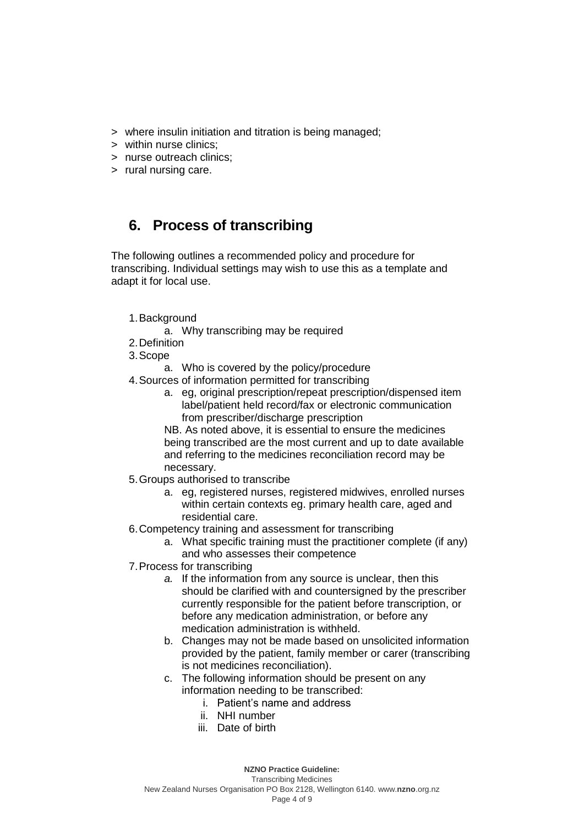- > where insulin initiation and titration is being managed;
- > within nurse clinics;
- > nurse outreach clinics;
- > rural nursing care.

### **6. Process of transcribing**

The following outlines a recommended policy and procedure for transcribing. Individual settings may wish to use this as a template and adapt it for local use.

- 1.Background
	- a. Why transcribing may be required
- 2.Definition
- 3.Scope
	- a. Who is covered by the policy/procedure
- 4.Sources of information permitted for transcribing
	- a. eg, original prescription/repeat prescription/dispensed item label/patient held record/fax or electronic communication from prescriber/discharge prescription

NB. As noted above, it is essential to ensure the medicines being transcribed are the most current and up to date available and referring to the medicines reconciliation record may be necessary.

- 5.Groups authorised to transcribe
	- a. eg, registered nurses, registered midwives, enrolled nurses within certain contexts eg. primary health care, aged and residential care.
- 6.Competency training and assessment for transcribing
	- a. What specific training must the practitioner complete (if any) and who assesses their competence
- 7.Process for transcribing
	- *a.* If the information from any source is unclear, then this should be clarified with and countersigned by the prescriber currently responsible for the patient before transcription, or before any medication administration, or before any medication administration is withheld.
	- b. Changes may not be made based on unsolicited information provided by the patient, family member or carer (transcribing is not medicines reconciliation).
	- c. The following information should be present on any information needing to be transcribed:
		- i. Patient's name and address
		- ii. NHI number
		- iii. Date of birth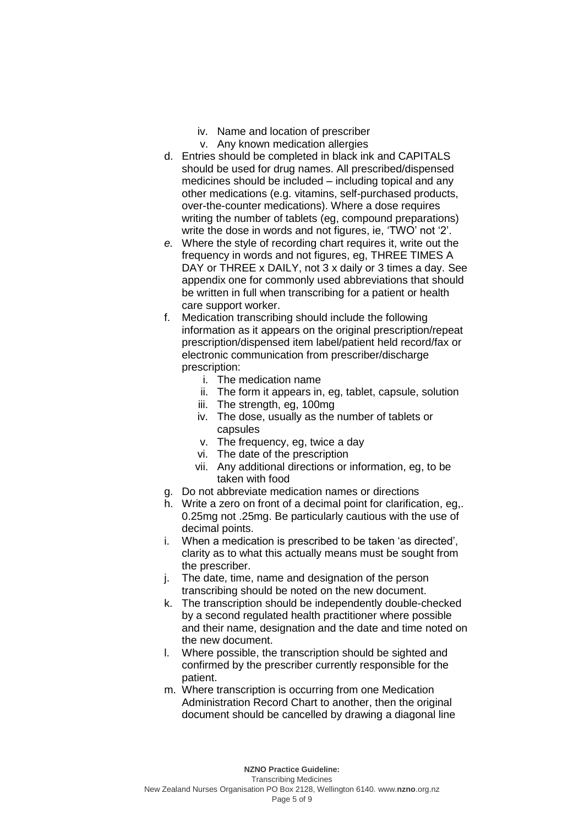- iv. Name and location of prescriber
- v. Any known medication allergies
- d. Entries should be completed in black ink and CAPITALS should be used for drug names. All prescribed/dispensed medicines should be included – including topical and any other medications (e.g. vitamins, self-purchased products, over-the-counter medications). Where a dose requires writing the number of tablets (eg, compound preparations) write the dose in words and not figures, ie, 'TWO' not '2'.
- *e.* Where the style of recording chart requires it, write out the frequency in words and not figures, eg, THREE TIMES A DAY or THREE x DAILY, not 3 x daily or 3 times a day. See appendix one for commonly used abbreviations that should be written in full when transcribing for a patient or health care support worker.
- f. Medication transcribing should include the following information as it appears on the original prescription/repeat prescription/dispensed item label/patient held record/fax or electronic communication from prescriber/discharge prescription:
	- i. The medication name
	- ii. The form it appears in, eg, tablet, capsule, solution
	- iii. The strength, eg, 100mg
	- iv. The dose, usually as the number of tablets or capsules
	- v. The frequency, eg, twice a day
	- vi. The date of the prescription
	- vii. Any additional directions or information, eg, to be taken with food
- g. Do not abbreviate medication names or directions
- h. Write a zero on front of a decimal point for clarification, eg,. 0.25mg not .25mg. Be particularly cautious with the use of decimal points.
- i. When a medication is prescribed to be taken 'as directed', clarity as to what this actually means must be sought from the prescriber.
- j. The date, time, name and designation of the person transcribing should be noted on the new document.
- k. The transcription should be independently double-checked by a second regulated health practitioner where possible and their name, designation and the date and time noted on the new document.
- l. Where possible, the transcription should be sighted and confirmed by the prescriber currently responsible for the patient.
- m. Where transcription is occurring from one Medication Administration Record Chart to another, then the original document should be cancelled by drawing a diagonal line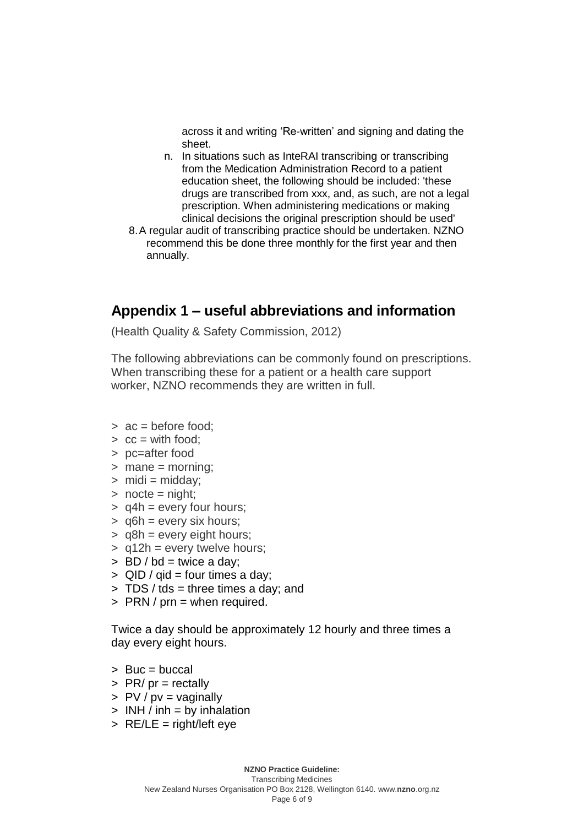across it and writing 'Re-written' and signing and dating the sheet.

- n. In situations such as InteRAI transcribing or transcribing from the Medication Administration Record to a patient education sheet, the following should be included: 'these drugs are transcribed from xxx, and, as such, are not a legal prescription. When administering medications or making clinical decisions the original prescription should be used'
- 8.A regular audit of transcribing practice should be undertaken. NZNO recommend this be done three monthly for the first year and then annually.

#### **Appendix 1 – useful abbreviations and information**

(Health Quality & Safety Commission, 2012)

The following abbreviations can be commonly found on prescriptions. When transcribing these for a patient or a health care support worker, NZNO recommends they are written in full.

- $> ac = \text{before food}$ :
- $\ge$   $cc =$  with food:
- > pc=after food
- > mane = morning;
- $>$  midi = midday;
- $>$  nocte = night;
- $>$  q4h = every four hours;
- $>$  q6h = every six hours;
- > q8h = every eight hours;
- $>$  q12h = every twelve hours;
- $>$  BD / bd = twice a day;
- $>$  QID / gid = four times a day;
- $> TDS / tds = three times a day; and$
- $>$  PRN / prn = when required.

Twice a day should be approximately 12 hourly and three times a day every eight hours.

- > Buc = buccal
- $>$  PR/ pr = rectally
- $> PV / pv = vaqinally$
- $>$  INH / inh = by inhalation
- $>$  RE/LE = right/left eye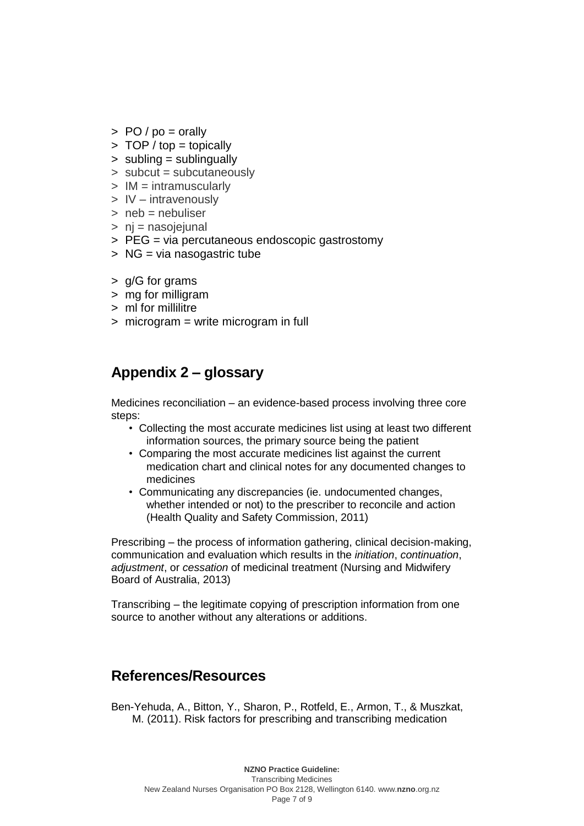- $>$  PO / po = orally
- $>$  TOP / top = topically
- > subling = sublingually
- > subcut = subcutaneously
- > IM = intramuscularly
- > IV intravenously
- $>$  neb = nebuliser
- > nj = nasojejunal
- > PEG = via percutaneous endoscopic gastrostomy
- > NG = via nasogastric tube
- > g/G for grams
- > mg for milligram
- > ml for millilitre
- > microgram = write microgram in full

# **Appendix 2 – glossary**

Medicines reconciliation – an evidence-based process involving three core steps:

- Collecting the most accurate medicines list using at least two different information sources, the primary source being the patient
- Comparing the most accurate medicines list against the current medication chart and clinical notes for any documented changes to medicines
- Communicating any discrepancies (ie. undocumented changes, whether intended or not) to the prescriber to reconcile and action (Health Quality and Safety Commission, 2011)

Prescribing – the process of information gathering, clinical decision-making, communication and evaluation which results in the *initiation*, *continuation*, *adjustment*, or *cessation* of medicinal treatment (Nursing and Midwifery Board of Australia, 2013)

Transcribing – the legitimate copying of prescription information from one source to another without any alterations or additions.

# **References/Resources**

Ben-Yehuda, A., Bitton, Y., Sharon, P., Rotfeld, E., Armon, T., & Muszkat, M. (2011). Risk factors for prescribing and transcribing medication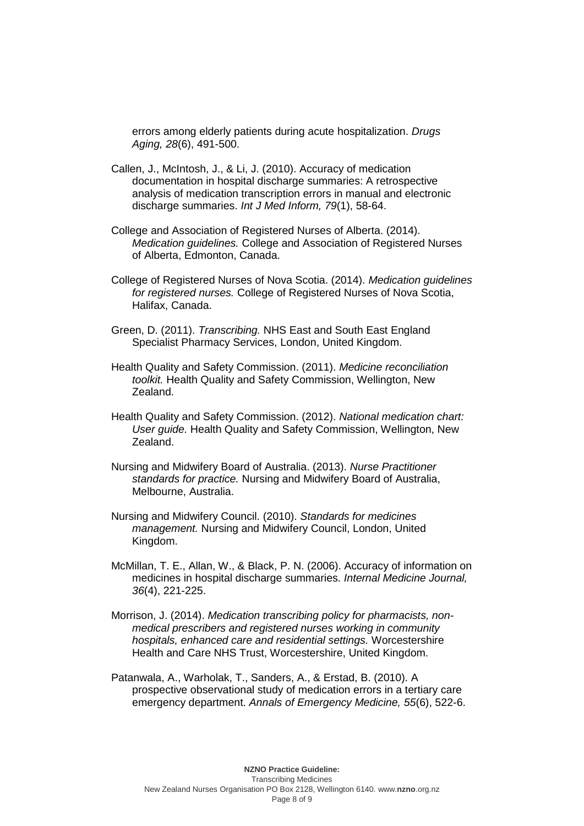errors among elderly patients during acute hospitalization. *Drugs Aging, 28*(6), 491-500.

- Callen, J., McIntosh, J., & Li, J. (2010). Accuracy of medication documentation in hospital discharge summaries: A retrospective analysis of medication transcription errors in manual and electronic discharge summaries. *Int J Med Inform, 79*(1), 58-64.
- College and Association of Registered Nurses of Alberta. (2014). *Medication guidelines.* College and Association of Registered Nurses of Alberta, Edmonton, Canada.
- College of Registered Nurses of Nova Scotia. (2014). *Medication guidelines for registered nurses.* College of Registered Nurses of Nova Scotia, Halifax, Canada.
- Green, D. (2011). *Transcribing.* NHS East and South East England Specialist Pharmacy Services, London, United Kingdom.
- Health Quality and Safety Commission. (2011). *Medicine reconciliation toolkit.* Health Quality and Safety Commission, Wellington, New Zealand.
- Health Quality and Safety Commission. (2012). *National medication chart: User guide.* Health Quality and Safety Commission, Wellington, New Zealand.
- Nursing and Midwifery Board of Australia. (2013). *Nurse Practitioner standards for practice.* Nursing and Midwifery Board of Australia, Melbourne, Australia.
- Nursing and Midwifery Council. (2010). *Standards for medicines management.* Nursing and Midwifery Council, London, United Kingdom.
- McMillan, T. E., Allan, W., & Black, P. N. (2006). Accuracy of information on medicines in hospital discharge summaries. *Internal Medicine Journal, 36*(4), 221-225.
- Morrison, J. (2014). *Medication transcribing policy for pharmacists, nonmedical prescribers and registered nurses working in community hospitals, enhanced care and residential settings.* Worcestershire Health and Care NHS Trust, Worcestershire, United Kingdom.
- Patanwala, A., Warholak, T., Sanders, A., & Erstad, B. (2010). A prospective observational study of medication errors in a tertiary care emergency department. *Annals of Emergency Medicine, 55*(6), 522-6.